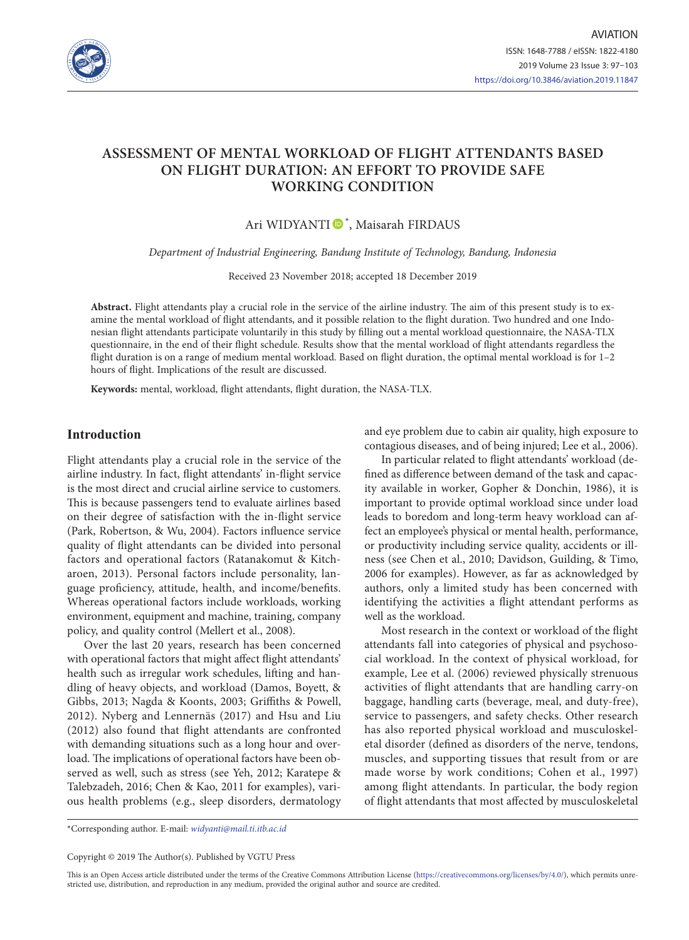

# **ASSESSMENT OF MENTAL WORKLOAD OF FLIGHT ATTENDANTS BASED ON FLIGHT DURATION: AN EFFORT TO PROVIDE SAFE WORKING CONDITION**

## Ari WIDYANTI <sup>®</sup>, Maisarah FIRDAUS

*Department of Industrial Engineering, Bandung Institute of Technology, Bandung, Indonesia* 

Received 23 November 2018; accepted 18 December 2019

**Abstract.** Flight attendants play a crucial role in the service of the airline industry. The aim of this present study is to examine the mental workload of flight attendants, and it possible relation to the flight duration. Two hundred and one Indonesian flight attendants participate voluntarily in this study by filling out a mental workload questionnaire, the NASA-TLX questionnaire, in the end of their flight schedule. Results show that the mental workload of flight attendants regardless the flight duration is on a range of medium mental workload. Based on flight duration, the optimal mental workload is for 1–2 hours of flight. Implications of the result are discussed.

**Keywords:** mental, workload, flight attendants, flight duration, the NASA-TLX.

## **Introduction**

Flight attendants play a crucial role in the service of the airline industry. In fact, flight attendants' in-flight service is the most direct and crucial airline service to customers. This is because passengers tend to evaluate airlines based on their degree of satisfaction with the in-flight service (Park, Robertson, & Wu, 2004). Factors influence service quality of flight attendants can be divided into personal factors and operational factors (Ratanakomut & Kitcharoen, 2013). Personal factors include personality, language proficiency, attitude, health, and income/benefits. Whereas operational factors include workloads, working environment, equipment and machine, training, company policy, and quality control (Mellert et al., 2008).

Over the last 20 years, research has been concerned with operational factors that might affect flight attendants' health such as irregular work schedules, lifting and handling of heavy objects, and workload (Damos, Boyett, & Gibbs, 2013; Nagda & Koonts, 2003; Griffiths & Powell, 2012). Nyberg and Lennernäs (2017) and Hsu and Liu (2012) also found that flight attendants are confronted with demanding situations such as a long hour and overload. The implications of operational factors have been observed as well, such as stress (see Yeh, 2012; Karatepe & Talebzadeh, 2016; Chen & Kao, 2011 for examples), various health problems (e.g., sleep disorders, dermatology

and eye problem due to cabin air quality, high exposure to contagious diseases, and of being injured; Lee et al., 2006).

In particular related to flight attendants' workload (defined as difference between demand of the task and capacity available in worker, Gopher & Donchin, 1986), it is important to provide optimal workload since under load leads to boredom and long-term heavy workload can affect an employee's physical or mental health, performance, or productivity including service quality, accidents or illness (see Chen et al., 2010; Davidson, Guilding, & Timo, 2006 for examples). However, as far as acknowledged by authors, only a limited study has been concerned with identifying the activities a flight attendant performs as well as the workload.

Most research in the context or workload of the flight attendants fall into categories of physical and psychosocial workload. In the context of physical workload, for example, Lee et al. (2006) reviewed physically strenuous activities of flight attendants that are handling carry-on baggage, handling carts (beverage, meal, and duty-free), service to passengers, and safety checks. Other research has also reported physical workload and musculoskeletal disorder (defined as disorders of the nerve, tendons, muscles, and supporting tissues that result from or are made worse by work conditions; Cohen et al., 1997) among flight attendants. In particular, the body region of flight attendants that most affected by musculoskeletal

\*Corresponding author. E-mail: *widyanti@mail.ti.itb.ac.id*

Copyright © 2019 The Author(s). Published by VGTU Press

This is an Open Access article distributed under the terms of the Creative Commons Attribution License [\(https://creativecommons.org/licenses/by/4.0/\)](http://creativecommons.org/licenses/by/4.0/), which permits unrestricted use, distribution, and reproduction in any medium, provided the original author and source are credited.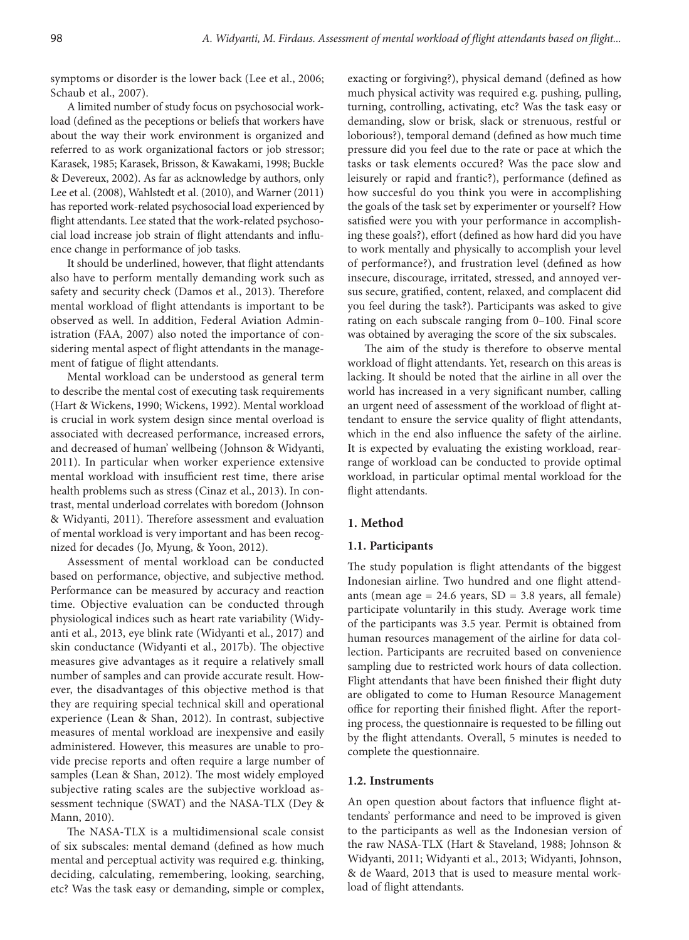symptoms or disorder is the lower back (Lee et al., 2006; Schaub et al., 2007).

A limited number of study focus on psychosocial workload (defined as the peceptions or beliefs that workers have about the way their work environment is organized and referred to as work organizational factors or job stressor; Karasek, 1985; Karasek, Brisson, & Kawakami, 1998; Buckle & Devereux, 2002). As far as acknowledge by authors, only Lee et al. (2008), Wahlstedt et al. (2010), and Warner (2011) has reported work-related psychosocial load experienced by flight attendants. Lee stated that the work-related psychosocial load increase job strain of flight attendants and influence change in performance of job tasks.

It should be underlined, however, that flight attendants also have to perform mentally demanding work such as safety and security check (Damos et al., 2013). Therefore mental workload of flight attendants is important to be observed as well. In addition, Federal Aviation Administration (FAA, 2007) also noted the importance of considering mental aspect of flight attendants in the management of fatigue of flight attendants.

Mental workload can be understood as general term to describe the mental cost of executing task requirements (Hart & Wickens, 1990; Wickens, 1992). Mental workload is crucial in work system design since mental overload is associated with decreased performance, increased errors, and decreased of human' wellbeing (Johnson & Widyanti, 2011). In particular when worker experience extensive mental workload with insufficient rest time, there arise health problems such as stress (Cinaz et al., 2013). In contrast, mental underload correlates with boredom (Johnson & Widyanti, 2011). Therefore assessment and evaluation of mental workload is very important and has been recognized for decades (Jo, Myung, & Yoon, 2012).

Assessment of mental workload can be conducted based on performance, objective, and subjective method. Performance can be measured by accuracy and reaction time. Objective evaluation can be conducted through physiological indices such as heart rate variability (Widyanti et al., 2013, eye blink rate (Widyanti et al., 2017) and skin conductance (Widyanti et al., 2017b). The objective measures give advantages as it require a relatively small number of samples and can provide accurate result. However, the disadvantages of this objective method is that they are requiring special technical skill and operational experience (Lean & Shan, 2012). In contrast, subjective measures of mental workload are inexpensive and easily administered. However, this measures are unable to provide precise reports and often require a large number of samples (Lean & Shan, 2012). The most widely employed subjective rating scales are the subjective workload assessment technique (SWAT) and the NASA-TLX (Dey & Mann, 2010).

The NASA-TLX is a multidimensional scale consist of six subscales: mental demand (defined as how much mental and perceptual activity was required e.g. thinking, deciding, calculating, remembering, looking, searching, etc? Was the task easy or demanding, simple or complex, exacting or forgiving?), physical demand (defined as how much physical activity was required e.g. pushing, pulling, turning, controlling, activating, etc? Was the task easy or demanding, slow or brisk, slack or strenuous, restful or loborious?), temporal demand (defined as how much time pressure did you feel due to the rate or pace at which the tasks or task elements occured? Was the pace slow and leisurely or rapid and frantic?), performance (defined as how succesful do you think you were in accomplishing the goals of the task set by experimenter or yourself? How satisfied were you with your performance in accomplishing these goals?), effort (defined as how hard did you have to work mentally and physically to accomplish your level of performance?), and frustration level (defined as how insecure, discourage, irritated, stressed, and annoyed versus secure, gratified, content, relaxed, and complacent did you feel during the task?). Participants was asked to give rating on each subscale ranging from 0–100. Final score was obtained by averaging the score of the six subscales.

The aim of the study is therefore to observe mental workload of flight attendants. Yet, research on this areas is lacking. It should be noted that the airline in all over the world has increased in a very significant number, calling an urgent need of assessment of the workload of flight attendant to ensure the service quality of flight attendants, which in the end also influence the safety of the airline. It is expected by evaluating the existing workload, rearrange of workload can be conducted to provide optimal workload, in particular optimal mental workload for the flight attendants.

## **1. Method**

## **1.1. Participants**

The study population is flight attendants of the biggest Indonesian airline. Two hundred and one flight attendants (mean age  $= 24.6$  years,  $SD = 3.8$  years, all female) participate voluntarily in this study. Average work time of the participants was 3.5 year. Permit is obtained from human resources management of the airline for data collection. Participants are recruited based on convenience sampling due to restricted work hours of data collection. Flight attendants that have been finished their flight duty are obligated to come to Human Resource Management office for reporting their finished flight. After the reporting process, the questionnaire is requested to be filling out by the flight attendants. Overall, 5 minutes is needed to complete the questionnaire.

#### **1.2. Instruments**

An open question about factors that influence flight attendants' performance and need to be improved is given to the participants as well as the Indonesian version of the raw NASA-TLX (Hart & Staveland, 1988; Johnson & Widyanti, 2011; Widyanti et al., 2013; Widyanti, Johnson, & de Waard, 2013 that is used to measure mental workload of flight attendants.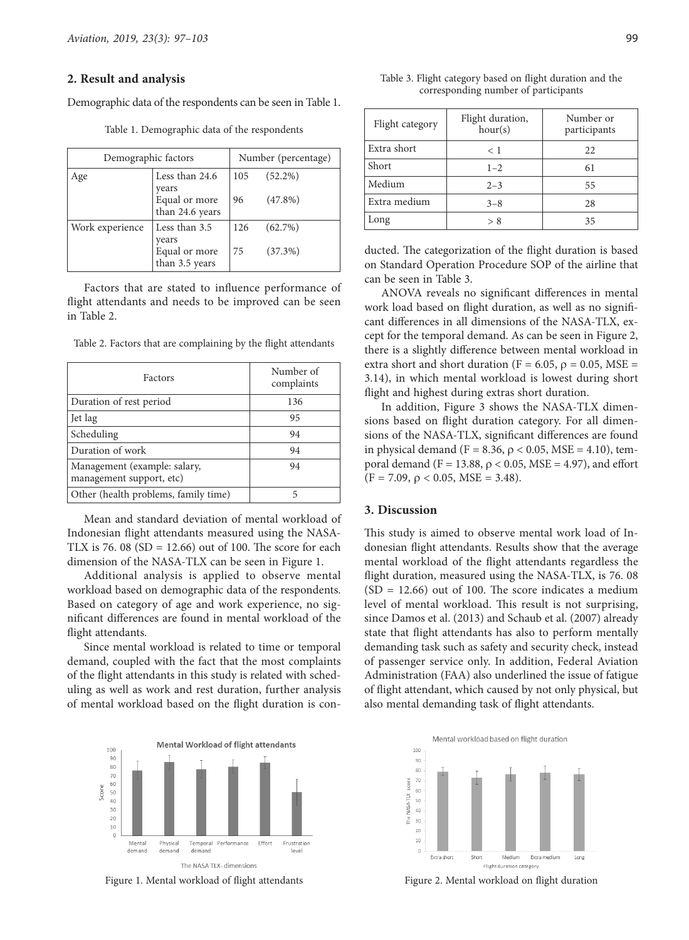#### **2. Result and analysis**

Demographic data of the respondents can be seen in Table 1.

| Demographic factors |                                           | Number (percentage) |            |
|---------------------|-------------------------------------------|---------------------|------------|
| Age                 | Less than 24.6                            | 105                 | $(52.2\%)$ |
|                     | years<br>Equal or more<br>than 24.6 years | 96                  | $(47.8\%)$ |
| Work experience     | Less than 3.5<br>years                    | 126                 | $(62.7\%)$ |
|                     | Equal or more<br>than 3.5 years           | 75                  | $(37.3\%)$ |

Table 1. Demographic data of the respondents

Factors that are stated to influence performance of flight attendants and needs to be improved can be seen in Table 2.

Table 2. Factors that are complaining by the flight attendants

| Factors                                                  | Number of<br>complaints |
|----------------------------------------------------------|-------------------------|
| Duration of rest period                                  | 136                     |
| Jet lag                                                  | 95                      |
| Scheduling                                               | 94                      |
| Duration of work                                         | 94                      |
| Management (example: salary,<br>management support, etc) | 94                      |
| Other (health problems, family time)                     | 5                       |

Mean and standard deviation of mental workload of Indonesian flight attendants measured using the NASA-TLX is 76. 08 ( $SD = 12.66$ ) out of 100. The score for each dimension of the NASA-TLX can be seen in Figure 1.

Additional analysis is applied to observe mental workload based on demographic data of the respondents. Based on category of age and work experience, no significant differences are found in mental workload of the flight attendants.

Since mental workload is related to time or temporal demand, coupled with the fact that the most complaints of the flight attendants in this study is related with scheduling as well as work and rest duration, further analysis of mental workload based on the flight duration is con-



Figure 1. Mental workload of flight attendants

| Flight category based on flight duration and the |  |  |  |  |
|--------------------------------------------------|--|--|--|--|
| corresponding number of participants             |  |  |  |  |

| Flight category | Flight duration,<br>hour(s) | Number or<br>participants |
|-----------------|-----------------------------|---------------------------|
| Extra short     | < 1                         | 22                        |
| Short           | $1 - 2$                     | 61                        |
| Medium          | $2 - 3$                     | 55                        |
| Extra medium    | $3 - 8$                     | 28                        |
| Long            | > 8                         | 35                        |

Table 3. Flight category ba

ducted. The categorization of the flight duration is based on Standard Operation Procedure SOP of the airline that can be seen in Table 3.

ANOVA reveals no significant differences in mental work load based on flight duration, as well as no significant differences in all dimensions of the NASA-TLX, except for the temporal demand. As can be seen in Figure 2, there is a slightly difference between mental workload in extra short and short duration (F = 6.05,  $\rho$  = 0.05, MSE = 3.14), in which mental workload is lowest during short flight and highest during extras short duration.

In addition, Figure 3 shows the NASA-TLX dimensions based on flight duration category. For all dimensions of the NASA-TLX, significant differences are found in physical demand (F = 8.36,  $ρ$  < 0.05, MSE = 4.10), temporal demand (F = 13.88,  $\rho$  < 0.05, MSE = 4.97), and effort  $(F = 7.09, \rho < 0.05, MSE = 3.48).$ 

## **3. Discussion**

This study is aimed to observe mental work load of Indonesian flight attendants. Results show that the average mental workload of the flight attendants regardless the flight duration, measured using the NASA-TLX, is 76. 08  $(SD = 12.66)$  out of 100. The score indicates a medium level of mental workload. This result is not surprising, since Damos et al. (2013) and Schaub et al. (2007) already state that flight attendants has also to perform mentally demanding task such as safety and security check, instead of passenger service only. In addition, Federal Aviation Administration (FAA) also underlined the issue of fatigue of flight attendant, which caused by not only physical, but also mental demanding task of flight attendants.



Figure 2. Mental workload on flight duration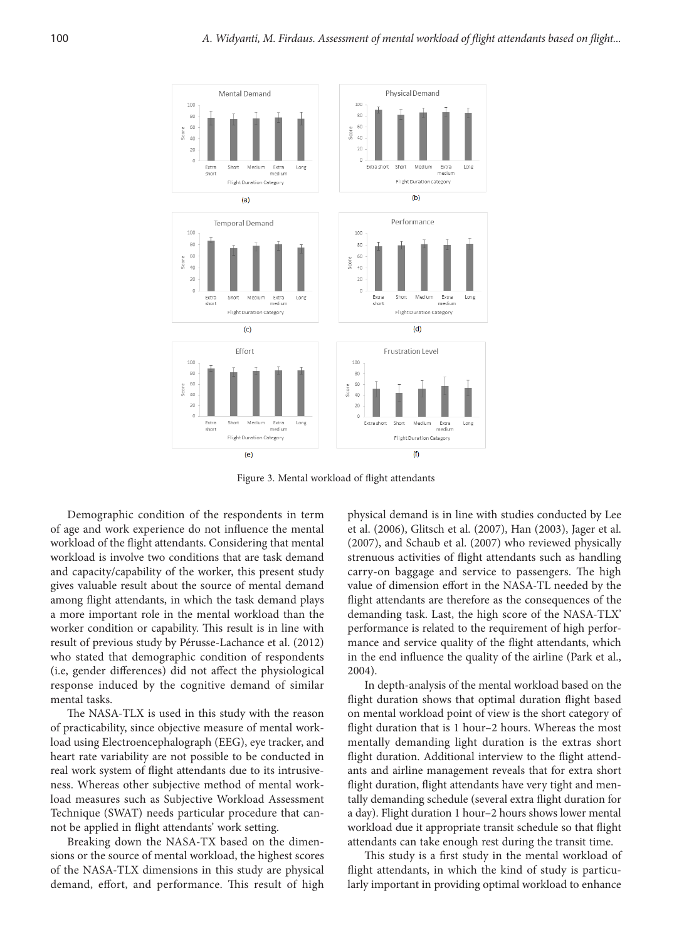

Figure 3. Mental workload of flight attendants

Demographic condition of the respondents in term of age and work experience do not influence the mental workload of the flight attendants. Considering that mental workload is involve two conditions that are task demand and capacity/capability of the worker, this present study gives valuable result about the source of mental demand among flight attendants, in which the task demand plays a more important role in the mental workload than the worker condition or capability. This result is in line with result of previous study by Pérusse-Lachance et al. (2012) who stated that demographic condition of respondents (i.e, gender differences) did not affect the physiological response induced by the cognitive demand of similar mental tasks.

The NASA-TLX is used in this study with the reason of practicability, since objective measure of mental workload using Electroencephalograph (EEG), eye tracker, and heart rate variability are not possible to be conducted in real work system of flight attendants due to its intrusiveness. Whereas other subjective method of mental workload measures such as Subjective Workload Assessment Technique (SWAT) needs particular procedure that cannot be applied in flight attendants' work setting.

Breaking down the NASA-TX based on the dimensions or the source of mental workload, the highest scores of the NASA-TLX dimensions in this study are physical demand, effort, and performance. This result of high physical demand is in line with studies conducted by Lee et al. (2006), Glitsch et al. (2007), Han (2003), Jager et al. (2007), and Schaub et al. (2007) who reviewed physically strenuous activities of flight attendants such as handling carry-on baggage and service to passengers. The high value of dimension effort in the NASA-TL needed by the flight attendants are therefore as the consequences of the demanding task. Last, the high score of the NASA-TLX' performance is related to the requirement of high performance and service quality of the flight attendants, which in the end influence the quality of the airline (Park et al., 2004).

In depth-analysis of the mental workload based on the flight duration shows that optimal duration flight based on mental workload point of view is the short category of flight duration that is 1 hour–2 hours. Whereas the most mentally demanding light duration is the extras short flight duration. Additional interview to the flight attendants and airline management reveals that for extra short flight duration, flight attendants have very tight and mentally demanding schedule (several extra flight duration for a day). Flight duration 1 hour–2 hours shows lower mental workload due it appropriate transit schedule so that flight attendants can take enough rest during the transit time.

This study is a first study in the mental workload of flight attendants, in which the kind of study is particularly important in providing optimal workload to enhance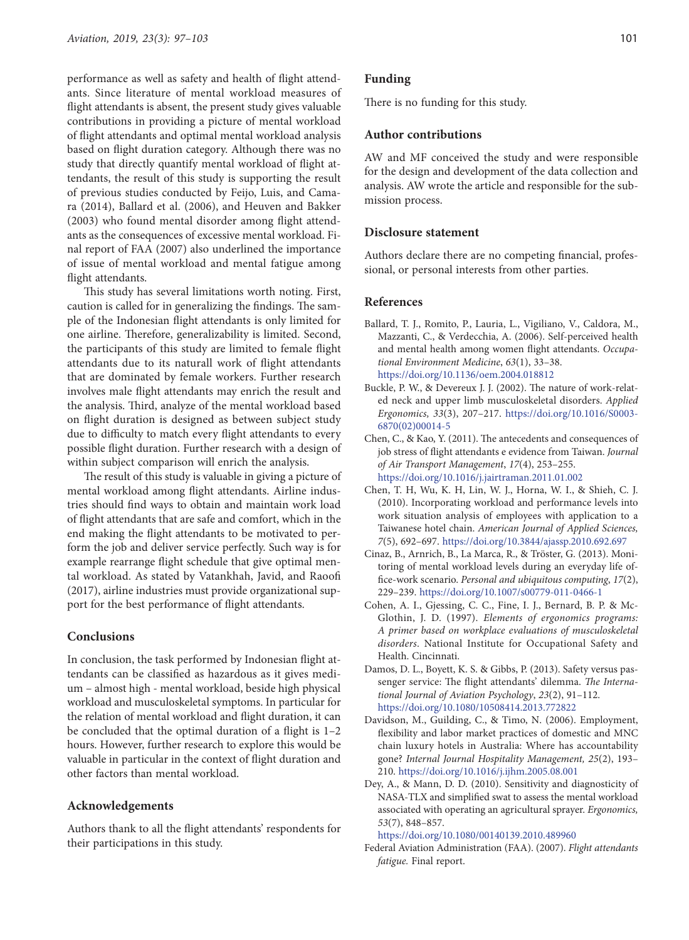performance as well as safety and health of flight attendants. Since literature of mental workload measures of flight attendants is absent, the present study gives valuable contributions in providing a picture of mental workload of flight attendants and optimal mental workload analysis based on flight duration category. Although there was no study that directly quantify mental workload of flight attendants, the result of this study is supporting the result of previous studies conducted by Feijo, Luis, and Camara (2014), Ballard et al. (2006), and Heuven and Bakker (2003) who found mental disorder among flight attendants as the consequences of excessive mental workload. Final report of FAA (2007) also underlined the importance of issue of mental workload and mental fatigue among flight attendants.

This study has several limitations worth noting. First, caution is called for in generalizing the findings. The sample of the Indonesian flight attendants is only limited for one airline. Therefore, generalizability is limited. Second, the participants of this study are limited to female flight attendants due to its naturall work of flight attendants that are dominated by female workers. Further research involves male flight attendants may enrich the result and the analysis. Third, analyze of the mental workload based on flight duration is designed as between subject study due to difficulty to match every flight attendants to every possible flight duration. Further research with a design of within subject comparison will enrich the analysis.

The result of this study is valuable in giving a picture of mental workload among flight attendants. Airline industries should find ways to obtain and maintain work load of flight attendants that are safe and comfort, which in the end making the flight attendants to be motivated to perform the job and deliver service perfectly. Such way is for example rearrange flight schedule that give optimal mental workload. As stated by Vatankhah, Javid, and Raoofi (2017), airline industries must provide organizational support for the best performance of flight attendants.

## **Conclusions**

In conclusion, the task performed by Indonesian flight attendants can be classified as hazardous as it gives medium – almost high - mental workload, beside high physical workload and musculoskeletal symptoms. In particular for the relation of mental workload and flight duration, it can be concluded that the optimal duration of a flight is 1–2 hours. However, further research to explore this would be valuable in particular in the context of flight duration and other factors than mental workload.

### **Acknowledgements**

Authors thank to all the flight attendants' respondents for their participations in this study.

#### **Funding**

There is no funding for this study.

#### **Author contributions**

AW and MF conceived the study and were responsible for the design and development of the data collection and analysis. AW wrote the article and responsible for the submission process.

## **Disclosure statement**

Authors declare there are no competing financial, professional, or personal interests from other parties.

### **References**

- Ballard, T. J., Romito, P., Lauria, L., Vigiliano, V., Caldora, M., Mazzanti, C., & Verdecchia, A. (2006). Self-perceived health and mental health among women flight attendants. *Occupational Environment Medicine*, *63*(1), 33–38. <https://doi.org/10.1136/oem.2004.018812>
- Buckle, P. W., & Devereux J. J. (2002). The nature of work-related neck and upper limb musculoskeletal disorders. *Applied Ergonomics, 33*(3), 207–217. [https://doi.org/10.1016/S0003-](https://doi.org/10.1016/S0003-6870(02)00014-5) [6870\(02\)00014-5](https://doi.org/10.1016/S0003-6870(02)00014-5)
- Chen, C., & Kao, Y. (2011). The antecedents and consequences of job stress of flight attendants e evidence from Taiwan. *Journal of Air Transport Management*, *17*(4), 253–255. <https://doi.org/10.1016/j.jairtraman.2011.01.002>
- Chen, T. H, Wu, K. H, Lin, W. J., Horna, W. I., & Shieh, C. J. (2010). Incorporating workload and performance levels into work situation analysis of employees with application to a Taiwanese hotel chain. *American Journal of Applied Sciences, 7*(5), 692–697. <https://doi.org/10.3844/ajassp.2010.692.697>
- Cinaz, B., Arnrich, B., La Marca, R., & Tröster, G. (2013). Monitoring of mental workload levels during an everyday life office-work scenario. *Personal and ubiquitous computing*, *17*(2), 229–239. <https://doi.org/10.1007/s00779-011-0466-1>
- Cohen, A. I., Gjessing, C. C., Fine, I. J., Bernard, B. P. & Mc-Glothin, J. D. (1997). *Elements of ergonomics programs: A primer based on workplace evaluations of musculoskeletal disorders*. National Institute for Occupational Safety and Health. Cincinnati.
- Damos, D. L., Boyett, K. S. & Gibbs, P. (2013). Safety versus passenger service: The flight attendants' dilemma. *The International Journal of Aviation Psychology*, *23*(2), 91–112. <https://doi.org/10.1080/10508414.2013.772822>
- Davidson, M., Guilding, C., & Timo, N. (2006). Employment, flexibility and labor market practices of domestic and MNC chain luxury hotels in Australia: Where has accountability gone? *Internal Journal Hospitality Management, 25*(2), 193– 210. <https://doi.org/10.1016/j.ijhm.2005.08.001>
- Dey, A., & Mann, D. D. (2010). Sensitivity and diagnosticity of NASA-TLX and simplified swat to assess the mental workload associated with operating an agricultural sprayer. *Ergonomics, 53*(7), 848–857.

<https://doi.org/10.1080/00140139.2010.489960>

Federal Aviation Administration (FAA). (2007). *Flight attendants fatigue.* Final report.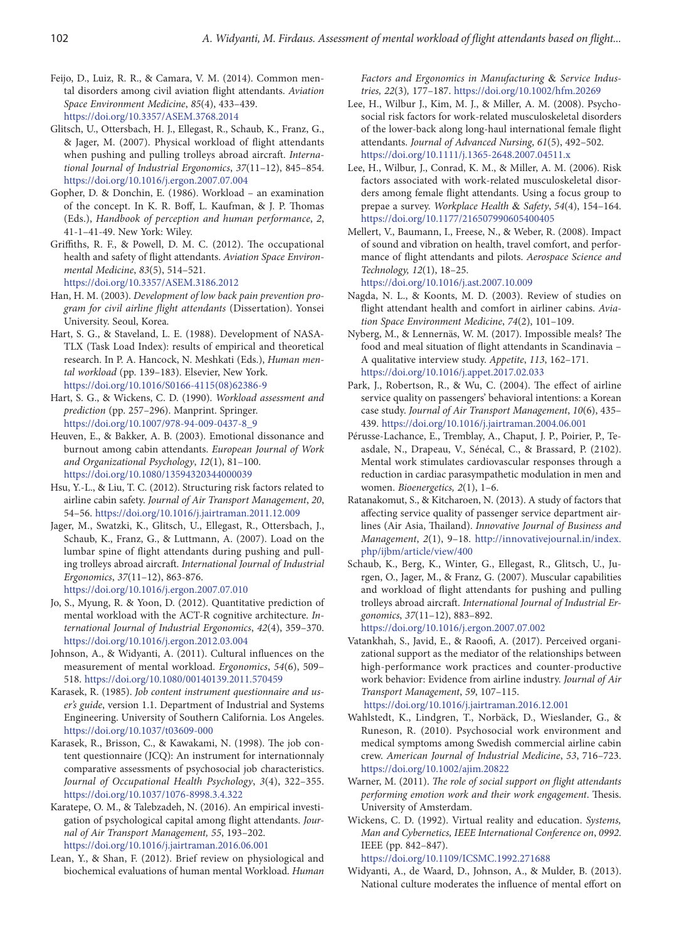- Feijo, D., Luiz, R. R., & Camara, V. M. (2014). Common mental disorders among civil aviation flight attendants. *Aviation Space Environment Medicine*, *85*(4), 433–439. <https://doi.org/10.3357/ASEM.3768.2014>
- Glitsch, U., Ottersbach, H. J., Ellegast, R., Schaub, K., Franz, G., & Jager, M. (2007). Physical workload of flight attendants when pushing and pulling trolleys abroad aircraft. *International Journal of Industrial Ergonomics*, *37*(11–12), 845–854. <https://doi.org/10.1016/j.ergon.2007.07.004>
- Gopher, D. & Donchin, E. (1986). Workload an examination of the concept. In K. R. Boff, L. Kaufman, & J. P. Thomas (Eds.), *Handbook of perception and human performance*, *2*, 41-1–41-49. New York: Wiley.
- Griffiths, R. F., & Powell, D. M. C. (2012). The occupational health and safety of flight attendants. *Aviation Space Environmental Medicine*, *83*(5), 514–521. <https://doi.org/10.3357/ASEM.3186.2012>

Han, H. M. (2003). *Development of low back pain prevention program for civil airline flight attendants* (Dissertation). Yonsei

University. Seoul, Korea. Hart, S. G., & Staveland, L. E. (1988). Development of NASA-TLX (Task Load Index): results of empirical and theoretical research. In P. A. Hancock, N. Meshkati (Eds.), *Human mental workload* (pp. 139–183). Elsevier, New York. [https://doi.org/10.1016/S0166-4115\(08\)62386-9](https://doi.org/10.1016/S0166-4115(08)62386-9)

Hart, S. G., & Wickens, C. D. (1990). *Workload assessment and prediction* (pp. 257–296). Manprint. Springer. [https://doi.org/10.1007/978-94-009-0437-8\\_9](https://doi.org/10.1007/978-94-009-0437-8_9)

- Heuven, E., & Bakker, A. B. (2003). Emotional dissonance and burnout among cabin attendants. *European Journal of Work and Organizational Psychology*, *12*(1), 81–100. <https://doi.org/10.1080/13594320344000039>
- Hsu, Y.-L., & Liu, T. C. (2012). Structuring risk factors related to airline cabin safety. *Journal of Air Transport Management*, *20*, 54–56. <https://doi.org/10.1016/j.jairtraman.2011.12.009>
- Jager, M., Swatzki, K., Glitsch, U., Ellegast, R., Ottersbach, J., Schaub, K., Franz, G., & Luttmann, A. (2007). Load on the lumbar spine of flight attendants during pushing and pulling trolleys abroad aircraft. *International Journal of Industrial Ergonomics*, *37*(11–12), 863-876.

<https://doi.org/10.1016/j.ergon.2007.07.010>

- Jo, S., Myung, R. & Yoon, D. (2012). Quantitative prediction of mental workload with the ACT-R cognitive architecture. *International Journal of Industrial Ergonomics*, *42*(4), 359–370. <https://doi.org/10.1016/j.ergon.2012.03.004>
- Johnson, A., & Widyanti, A. (2011). Cultural influences on the measurement of mental workload. *Ergonomics*, *54*(6), 509– 518. <https://doi.org/10.1080/00140139.2011.570459>
- Karasek, R. (1985). *Job content instrument questionnaire and user's guide*, version 1.1. Department of Industrial and Systems Engineering. University of Southern California. Los Angeles. <https://doi.org/10.1037/t03609-000>
- Karasek, R., Brisson, C., & Kawakami, N. (1998). The job content questionnaire (JCQ): An instrument for internationnaly comparative assessments of psychosocial job characteristics. *Journal of Occupational Health Psychology*, *3*(4), 322–355. <https://doi.org/10.1037/1076-8998.3.4.322>
- Karatepe, O. M., & Talebzadeh, N. (2016). An empirical investigation of psychological capital among flight attendants. *Journal of Air Transport Management, 55*, 193–202. <https://doi.org/10.1016/j.jairtraman.2016.06.001>
- Lean, Y., & Shan, F. (2012). Brief review on physiological and biochemical evaluations of human mental Workload. *Human*

*Factors and Ergonomics in Manufacturing* & *Service Industries, 22*(3)*,* 177–187. <https://doi.org/10.1002/hfm.20269>

- Lee, H., Wilbur J., Kim, M. J., & Miller, A. M. (2008). Psychosocial risk factors for work-related musculoskeletal disorders of the lower-back along long-haul international female flight attendants. *Journal of Advanced Nursing*, *61*(5), 492–502. <https://doi.org/10.1111/j.1365-2648.2007.04511.x>
- Lee, H., Wilbur, J., Conrad, K. M., & Miller, A. M. (2006). Risk factors associated with work-related musculoskeletal disorders among female flight attendants. Using a focus group to prepae a survey. *Workplace Health* & *Safety*, *54*(4), 154–164. <https://doi.org/10.1177/216507990605400405>
- Mellert, V., Baumann, I., Freese, N., & Weber, R. (2008). Impact of sound and vibration on health, travel comfort, and performance of flight attendants and pilots. *Aerospace Science and Technology, 12*(1), 18–25. <https://doi.org/10.1016/j.ast.2007.10.009>
- Nagda, N. L., & Koonts, M. D. (2003). Review of studies on flight attendant health and comfort in airliner cabins. *Aviation Space Environment Medicine*, *74*(2), 101–109.
- Nyberg, M., & Lennernäs, W. M. (2017). Impossible meals? The food and meal situation of flight attendants in Scandinavia – A qualitative interview study. *Appetite*, *113*, 162–171. <https://doi.org/10.1016/j.appet.2017.02.033>
- Park, J., Robertson, R., & Wu, C. (2004). The effect of airline service quality on passengers' behavioral intentions: a Korean case study. *Journal of Air Transport Management*, *10*(6), 435– 439. <https://doi.org/10.1016/j.jairtraman.2004.06.001>
- Pérusse-Lachance, E., Tremblay, A., Chaput, J. P., Poirier, P., Teasdale, N., Drapeau, V., Sénécal, C., & Brassard, P. (2102). Mental work stimulates cardiovascular responses through a reduction in cardiac parasympathetic modulation in men and women. *Bioenergetics, 2*(1), 1–6.
- Ratanakomut, S., & Kitcharoen, N. (2013). A study of factors that affecting service quality of passenger service department airlines (Air Asia, Thailand). *Innovative Journal of Business and Management*, *2*(1), 9–18. [http://innovativejournal.in/index.](http://innovativejournal.in/index.php/ijbm/article/view/400) [php/ijbm/article/view/400](http://innovativejournal.in/index.php/ijbm/article/view/400)
- Schaub, K., Berg, K., Winter, G., Ellegast, R., Glitsch, U., Jurgen, O., Jager, M., & Franz, G. (2007). Muscular capabilities and workload of flight attendants for pushing and pulling trolleys abroad aircraft. *International Journal of Industrial Ergonomics*, *37*(11–12), 883–892.

<https://doi.org/10.1016/j.ergon.2007.07.002>

Vatankhah, S., Javid, E., & Raoofi, A. (2017). Perceived organizational support as the mediator of the relationships between high-performance work practices and counter-productive work behavior: Evidence from airline industry. *Journal of Air Transport Management*, *59*, 107–115.

<https://doi.org/10.1016/j.jairtraman.2016.12.001>

- Wahlstedt, K., Lindgren, T., Norbäck, D., Wieslander, G., & Runeson, R. (2010). Psychosocial work environment and medical symptoms among Swedish commercial airline cabin crew. *American Journal of Industrial Medicine*, *53*, 716–723. <https://doi.org/10.1002/ajim.20822>
- Warner, M. (2011). *The role of social support on flight attendants performing emotion work and their work engagement*. Thesis. University of Amsterdam.
- Wickens, C. D. (1992). Virtual reality and education. *Systems, Man and Cybernetics, IEEE International Conference on*, *0992*. IEEE (pp. 842–847).

<https://doi.org/10.1109/ICSMC.1992.271688>

Widyanti, A., de Waard, D., Johnson, A., & Mulder, B. (2013). National culture moderates the influence of mental effort on